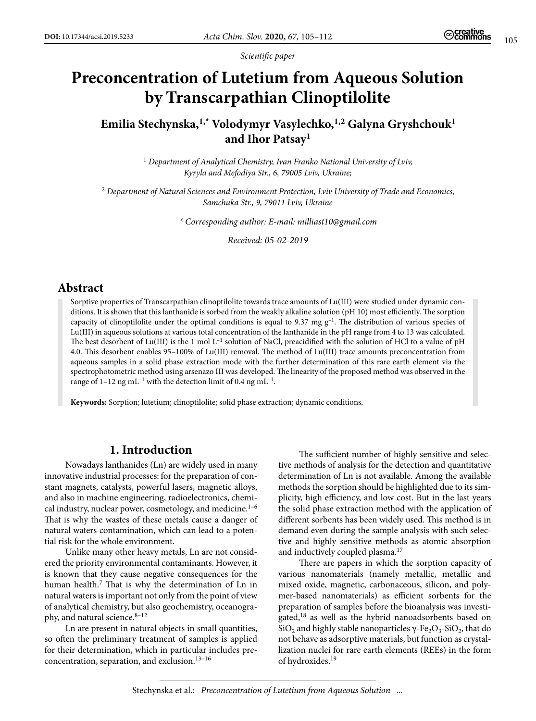*Scientific paper*

# **Preconcentration of Lutetium from Aqueous Solution by Transcarpathian Clinoptilolite**

## **Emilia Stechynska,1,\* Volodymyr Vasylechko,1,2 Galyna Gryshchouk1 and Ihor Patsay<sup>1</sup>**

<sup>1</sup> Department of Analytical Chemistry, Ivan Franko National University of Lviv, *Kyryla and Mefodiya Str., 6, 79005 Lviv, Ukraine;*

<sup>2</sup> *Department of Natural Sciences and Environment Protection, Lviv University of Trade and Economics, Samchuka Str., 9, 79011 Lviv, Ukraine*

*\* Corresponding author: E-mail: milliast10@gmail.com*

*Received: 05-02-2019*

#### **Abstract**

Sorptive properties of Transcarpathian clinoptilolite towards trace amounts of Lu(III) were studied under dynamic conditions. It is shown that this lanthanide is sorbed from the weakly alkaline solution (рН 10) most efficiently. The sorption capacity of clinoptilolite under the optimal conditions is equal to 9.37 mg  $g^{-1}$ . The distribution of various species of Lu(III) in aqueous solutions at various total concentration of the lanthanide in the pH range from 4 to 13 was calculated. The best desorbent of Lu(III) is the 1 mol  $L^{-1}$  solution of NaCl, preacidified with the solution of HCl to a value of pH 4.0. This desorbent enables 95–100% of Lu(ІІІ) removal. The method of Lu(III) trace amounts preconcentration from aqueous samples in a solid phase extraction mode with the further determination of this rare earth element via the spectrophotometric method using arsenazo III was developed. The linearity of the proposed method was observed in the range of  $1-12$  ng mL<sup>-1</sup> with the detection limit of 0.4 ng mL<sup>-1</sup>.

**Keywords:** Sorption; lutetium; clinoptilolite; solid phase extraction; dynamic conditions.

## **1. Introduction**

Nowadays lanthanides (Ln) are widely used in many innovative industrial processes: for the preparation of constant magnets, catalysts, powerful lasers, magnetic alloys, and also in machine engineering, radioelectronics, chemical industry, nuclear power, cosmetology, and medicine.<sup>1-6</sup> That is why the wastes of these metals cause a danger of natural waters contamination, which can lead to a potential risk for the whole environment.

Unlike many other heavy metals, Ln are not considered the priority environmental contaminants. However, it is known that they cause negative consequences for the human health.<sup>7</sup> That is why the determination of Ln in natural waters is important not only from the point of view of analytical chemistry, but also geochemistry, oceanography, and natural science. $8-12$ 

Ln are present in natural objects in small quantities, so often the preliminary treatment of samples is applied for their determination, which in particular includes preconcentration, separation, and exclusion.13–16

The sufficient number of highly sensitive and selective methods of analysis for the detection and quantitative determination of Ln is not available. Among the available methods the sorption should be highlighted due to its simplicity, high efficiency, and low cost. But in the last years the solid phase extraction method with the application of different sorbents has been widely used. This method is in demand even during the sample analysis with such selective and highly sensitive methods as atomic absorption and inductively coupled plasma.<sup>17</sup>

There are papers in which the sorption capacity of various nanomaterials (namely metallic, metallic and mixed oxide, magnetic, carbonaceous, silicon, and polymer-based nanomaterials) as efficient sorbents for the preparation of samples before the bioanalysis was investigated,<sup>18</sup> as well as the hybrid nanoadsorbents based on SiO<sub>2</sub> and highly stable nanoparticles γ-Fe<sub>2</sub>O<sub>3</sub>-SiO<sub>2</sub>, that do not behave as adsorptive materials, but function as crystallization nuclei for rare earth elements (REEs) in the form of hydroxides.19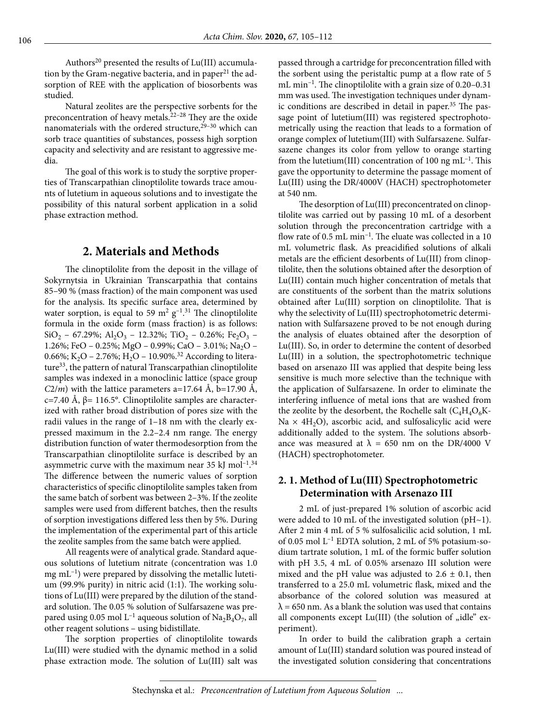Authors<sup>20</sup> presented the results of Lu(III) accumulation by the Gram-negative bacteria, and in paper<sup>21</sup> the adsorption of REE with the application of biosorbents was studied.

Natural zeolites are the perspective sorbents for the preconcentration of heavy metals.<sup>22-28</sup> They are the oxide nanomaterials with the ordered structure,<sup>29-30</sup> which can sorb trace quantities of substances, possess high sorption capacity and selectivity and are resistant to aggressive media.

The goal of this work is to study the sorptive properties of Transcarpathian clinoptilolite towards trace amounts of lutetium in aqueous solutions and to investigate the possibility of this natural sorbent application in a solid phase extraction method.

#### **2. Materials and Methods**

The clinoptilolite from the deposit in the village of Sokyrnytsia in Ukrainian Transcarpathia that contains 85–90 % (mass fraction) of the main component was used for the analysis. Its specific surface area, determined by water sorption, is equal to 59  $\mathrm{m}^2$  g<sup>-1</sup>.<sup>31</sup> The clinoptilolite formula in the oxide form (mass fraction) is as follows:  $SiO_2$  – 67.29%; Al<sub>2</sub>O<sub>3</sub> – 12.32%; TiO<sub>2</sub> – 0.26%; Fe<sub>2</sub>O<sub>3</sub> – 1.26%; FeO – 0.25%; MgO – 0.99%; CaO – 3.01%; Na<sub>2</sub>O – 0.66%; K<sub>2</sub>O – 2.76%; H<sub>2</sub>O – 10.90%.<sup>32</sup> According to literature<sup>33</sup>, the pattern of natural Transcarpathian clinoptilolite samples was indexed in a monoclinic lattice (space group *C*2/*m*) with the lattice parameters a=17.64 Å, b=17.90 Å, c=7.40 Å, β= 116.5°. Clinoptilolite samples are characterized with rather broad distribution of pores size with the radii values in the range of 1–18 nm with the clearly expressed maximum in the 2.2–2.4 nm range. The energy distribution function of water thermodesorption from the Transcarpathian clinoptilolite surface is described by an asymmetric curve with the maximum near 35 kJ mol<sup>-1</sup>.<sup>34</sup> The difference between the numeric values of sorption characteristics of specific clinoptilolite samples taken from the same batch of sorbent was between 2–3%. If the zeolite samples were used from different batches, then the results of sorption investigations differed less then by 5%. During the implementation of the experimental part of this article the zeolite samples from the same batch were applied.

All reagents were of analytical grade. Standard aqueous solutions of lutetium nitrate (concentration was 1.0  $mg \text{ mL}^{-1}$ ) were prepared by dissolving the metallic lutetium (99.9% purity) in nitric acid (1:1). The working solutions of Lu(III) were prepared by the dilution of the standard solution. The 0.05 % solution of Sulfarsazene was prepared using 0.05 mol  $L^{-1}$  aqueous solution of Na<sub>2</sub>B<sub>4</sub>O<sub>7</sub>, all other reagent solutions – using bidistillate.

The sorption properties of clinoptilolite towards Lu(III) were studied with the dynamic method in a solid phase extraction mode. The solution of Lu(III) salt was passed through a cartridge for preconcentration filled with the sorbent using the peristaltic pump at a flow rate of 5 mL min–1. The clinoptilolite with a grain size of 0.20–0.31 mm was used. The investigation techniques under dynamic conditions are described in detail in paper.<sup>35</sup> The passage point of lutetium(III) was registered spectrophotometrically using the reaction that leads to a formation of orange complex of lutetium(III) with Sulfarsazene. Sulfarsazene changes its color from yellow to orange starting from the lutetium(III) concentration of 100 ng  $mL^{-1}$ . This gave the opportunity to determine the passage moment of Lu(III) using the DR/4000V (HACH) spectrophotometer at 540 nm.

The desorption of Lu(III) preconcentrated on clinoptilolite was carried out by passing 10 mL of a desorbent solution through the preconcentration cartridge with a flow rate of  $0.5$  mL min<sup>-1</sup>. The eluate was collected in a 10 mL volumetric flask. As preacidified solutions of alkali metals are the efficient desorbents of Lu(III) from clinoptilolite, then the solutions obtained after the desorption of Lu(III) contain much higher concentration of metals that are constituents of the sorbent than the matrix solutions obtained after Lu(III) sorption on clinoptilolite. That is why the selectivity of Lu(III) spectrophotometric determination with Sulfarsazene proved to be not enough during the analysis of eluates obtained after the desorption of Lu(III). So, in order to determine the content of desorbed Lu(III) in a solution, the spectrophotometric technique based on arsenazo III was applied that despite being less sensitive is much more selective than the technique with the application of Sulfarsazene. In order to eliminate the interfering influence of metal ions that are washed from the zeolite by the desorbent, the Rochelle salt  $(C_4H_4O_6K-$ Na  $\times$  4H<sub>2</sub>O), ascorbic acid, and sulfosalicylic acid were additionally added to the system. The solutions absorbance was measured at  $\lambda = 650$  nm on the DR/4000 V (HACH) spectrophotometer.

#### **2. 1. Method of Lu(ІІІ) Spectrophotometric Determination with Arsenazo III**

2 mL of just-prepared 1% solution of ascorbic acid were added to 10 mL of the investigated solution (pH~1). After 2 min 4 mL of 5 % sulfosalicilic acid solution, 1 mL of 0.05 mol L–1 EDTA solution, 2 mL of 5% potasium-sodium tartrate solution, 1 mL of the formic buffer solution with рН 3.5, 4 mL of 0.05% arsenazo ІІІ solution were mixed and the pH value was adjusted to  $2.6 \pm 0.1$ , then transferred to a 25.0 mL volumetric flask, mixed and the absorbance of the colored solution was measured at  $\lambda$  = 650 nm. As a blank the solution was used that contains all components except  $Lu(III)$  (the solution of "idle" experiment).

In order to build the calibration graph a certain amount of Lu(III) standard solution was poured instead of the investigated solution considering that concentrations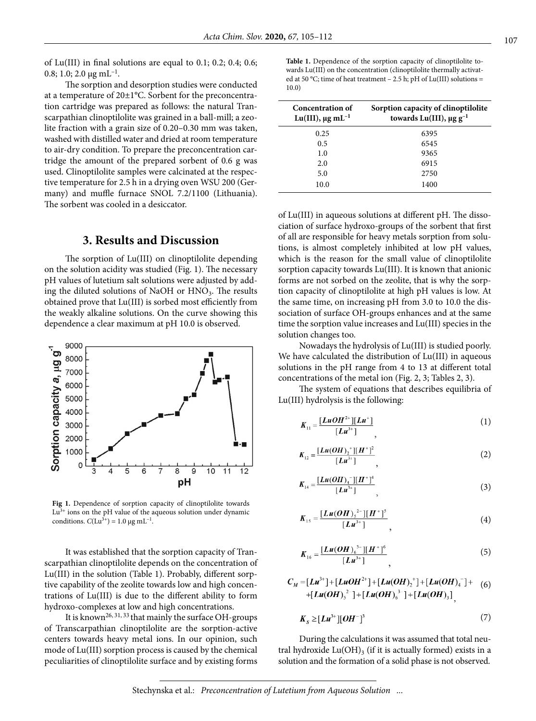of Lu(III) in final solutions are equal to 0.1; 0.2; 0.4; 0.6; 0.8; 1.0; 2.0  $\mu$ g mL<sup>-1</sup>.

The sorption and desorption studies were conducted at a temperature of 20±1°С. Sorbent for the preconcentration cartridge was prepared as follows: the natural Transcarpathian clinoptilolite was grained in a ball-mill; a zeolite fraction with a grain size of 0.20–0.30 mm was taken, washed with distilled water and dried at room temperature to air-dry condition. To prepare the preconcentration cartridge the amount of the prepared sorbent of 0.6 g was used. Clinoptilolite samples were calcinated at the respective temperature for 2.5 h in a drying oven WSU 200 (Germany) and muffle furnace SNOL 7.2/1100 (Lithuania). The sorbent was cooled in a desiccator.

#### **3. Results and Discussion**

The sorption of Lu(III) on clinoptilolite depending on the solution acidity was studied (Fig. 1). The necessary pH values of lutetium salt solutions were adjusted by adding the diluted solutions of NaOH or  $HNO<sub>3</sub>$ . The results obtained prove that Lu(ІІІ) is sorbed most efficiently from the weakly alkaline solutions. On the curve showing this dependence a clear maximum at pH 10.0 is observed.



**Fig 1.** Dependence of sorption capacity of clinoptilolite towards  $Lu^{3+}$  ions on the pH value of the aqueous solution under dynamic conditions.  $C(Lu^{3+}) = 1.0 \mu g m L^{-1}$ .

It was established that the sorption capacity of Transcarpathian clinoptilolite depends on the concentration of Lu(III) in the solution (Table 1). Probably, different sorptive capability of the zeolite towards low and high concentrations of Lu(III) is due to the different ability to form hydroxo-complexes at low and high concentrations.

It is known26, 31, 33 that mainly the surface OH-groups of Transcarpathian clinoptilolite are the sorption-active centers towards heavy metal ions. In our opinion, such mode of Lu(III) sorption process is caused by the chemical peculiarities of clinoptilolite surface and by existing forms

Table 1. Dependence of the sorption capacity of clinoptilolite towards Lu(III) on the concentration (clinoptilolite thermally activated at 50 °C; time of heat treatment – 2.5 h; pH of Lu(III) solutions = 10.0)

| Concentration of<br>Lu(III), $\mu$ g mL <sup>-1</sup> | Sorption capacity of clinoptilolite<br>towards Lu(III), $\mu$ g g <sup>-1</sup> |  |
|-------------------------------------------------------|---------------------------------------------------------------------------------|--|
| 0.25                                                  | 6395                                                                            |  |
| 0.5                                                   | 6545                                                                            |  |
| 1.0                                                   | 9365                                                                            |  |
| 2.0                                                   | 6915                                                                            |  |
| 5.0                                                   | 2750                                                                            |  |
| 10.0                                                  | 1400                                                                            |  |

of Lu(III) in aqueous solutions at different pH. The dissociation of surface hydroxo-groups of the sorbent that first of all are responsible for heavy metals sorption from solutions, is almost completely inhibited at low pH values, which is the reason for the small value of clinoptilolite sorption capacity towards Lu(III). It is known that anionic forms are not sorbed on the zeolite, that is why the sorption capacity of clinoptilolite at high pH values is low. At the same time, on increasing pH from 3.0 to 10.0 the dissociation of surface OH-groups enhances and at the same time the sorption value increases and Lu(ІІІ) species in the solution changes too.

Nowadays the hydrolysis of Lu(III) is studied poorly. We have calculated the distribution of Lu(III) in aqueous solutions in the pH range from 4 to 13 at different total concentrations of the metal ion (Fig. 2, 3; Tables 2, 3).

The system of equations that describes equilibria of Lu(III) hydrolysis is the following:

$$
K_{11} = \frac{[LuOH^{2+}][Lu^{+}]}{[Lu^{3+}]}
$$
 (1)

$$
K_{12} = \frac{[Lu(OH)_2^+][H^+]^2}{[Lu^{3+}]},
$$
 (2)

$$
K_{14} = \frac{[Lu(OH)_4^-][H^+]^4}{[Lu^{3+}]},
$$
\n(3)

$$
K_{15} = \frac{[Lu(OH)_5^{2-}][H^+]^5}{[Lu^{3+}]}
$$
 (4)

$$
K_{16} = \frac{[Lu(OH)_6^{3-}][H^+]^6}{[Lu^{3+}]}
$$
 (5)

$$
C_M = [Lu^{3+}] + [LuOH^{2+}] + [Lu(OH)2+] + [Lu(OH)4-] + (6)+ [Lu(OH)52] + [Lu(OH)63] + [Lu(OH)3]
$$

$$
K_{S} \geq [Lu^{3+}][OH^{-}]^{3}
$$
 (7)

During the calculations it was assumed that total neutral hydroxide  $Lu(OH)$ <sub>3</sub> (if it is actually formed) exists in a solution and the formation of a solid phase is not observed.

Stechynska et al.: *Preconcentration of Lutetium from Aqueous Solution ...*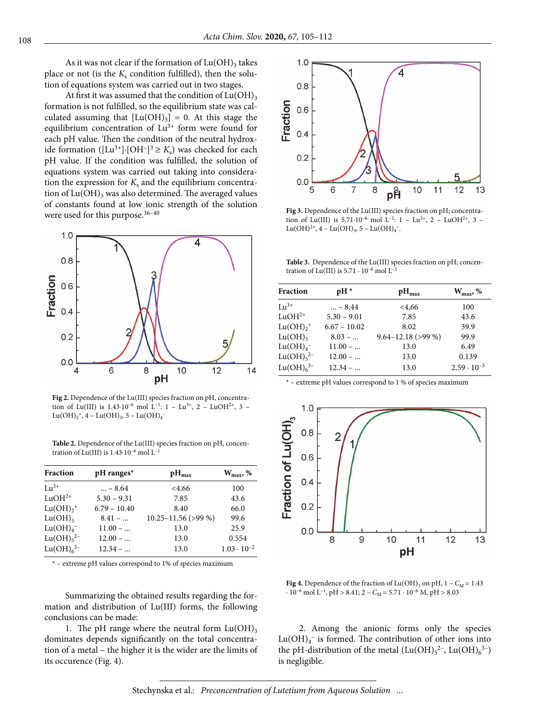As it was not clear if the formation of  $Lu(OH)$ <sub>3</sub> takes place or not (is the  $K_s$  condition fulfilled), then the solution of equations system was carried out in two stages.

At first it was assumed that the condition of  $Lu(OH)$ <sub>3</sub> formation is not fulfilled, so the equilibrium state was calculated assuming that  $[Lu(OH)_3] = 0$ . At this stage the equilibrium concentration of  $Lu^{3+}$  form were found for each pH value. Then the condition of the neutral hydroxide formation ([Lu<sup>3+</sup>]∙[OH<sup>–</sup>]<sup>3</sup> ≥ *K*<sub>s</sub>) was checked for each pH value. If the condition was fulfilled, the solution of equations system was carried out taking into consideration the expression for  $K_s$  and the equilibrium concentration of  $Lu(OH)$ <sub>3</sub> was also determined. The averaged values of constants found at low ionic strength of the solution were used for this purpose.<sup>36-40</sup>



**Fig 2.** Dependence of the Lu(III) species fraction on pH, concentration of Lu(III) is  $1.43 \cdot 10^{-6}$  mol  $L^{-1}$ :  $1 - Lu^{3+}$ ,  $2 - LuOH^{2+}$ ,  $3 Lu(OH)<sub>2</sub><sup>+</sup>, 4 - Lu(OH)<sub>3</sub>, 5 - Lu(OH)<sub>4</sub><sup>-</sup>$ 

**Table 2.** Dependence of the Lu(III) species fraction on pH, concentration of Lu(III) is 1.43∙10–6 mol L–1

| Fraction                          | $pH$ ranges*   | $pH_{\text{max}}$       | $W_{\text{max}}$ , % |
|-----------------------------------|----------------|-------------------------|----------------------|
| $\rm{Li}^{3+}$                    | $ - 8.64$      | <4.66                   | 100                  |
| $LuOH2+$                          | $5.30 - 9.31$  | 7.85                    | 43.6                 |
| $Lu(OH)+$                         | $6.79 - 10.40$ | 8.40                    | 66.0                 |
| $Lu(OH)$ <sub>3</sub>             | $8.41 - $      | $10.25 - 11.56$ (>99 %) | 99.6                 |
| $Lu(OH)4$ <sup>-</sup>            | $11.00 - $     | 13.0                    | 25.9                 |
| Lu(OH) <sub>5</sub> <sup>2–</sup> | $12.00 - $     | 13.0                    | 0.554                |
| Lu(OH) <sub>6</sub> <sup>3–</sup> | $12.34 - $     | 13.0                    | $1.03 \cdot 10^{-2}$ |

\* – extreme рН values correspond to 1% of species maximum

Summarizing the obtained results regarding the formation and distribution of Lu(III) forms, the following conclusions can be made:

1. The pH range where the neutral form  $Lu(OH)_{3}$ dominates depends significantly on the total concentration of a metal – the higher it is the wider are the limits of its occurence (Fig. 4).



**Fig 3.** Dependence of the Lu(III) species fraction on pH; concentration of Lu(III) is 5.71⋅10<sup>-6</sup> mol L<sup>-1</sup>: 1 - Lu<sup>3+</sup>, 2 - LuOH<sup>2+</sup>, 3 - $Lu(OH)<sup>2+</sup>, 4 - Lu(OH)<sub>3</sub>, 5 - Lu(OH)<sub>4</sub>$ .

**Table 3.** Dependence of the Lu(III) species fraction on pH; concentration of Lu(III) is  $5.71 \cdot 10^{-6}$  mol L<sup>-1</sup>

| <b>Fraction</b>                   | $pH*$          | $pH_{\text{max}}$      | $W_{\text{max}}$ , % |  |
|-----------------------------------|----------------|------------------------|----------------------|--|
|                                   |                |                        |                      |  |
| $\mathrm{Li}^{3+}$                | $ - 8.44$      | <4,66                  | 100                  |  |
| $LuOH2+$                          | $5.30 - 9.01$  | 7.85                   | 43.6                 |  |
| $Lu(OH)+$                         | $6.67 - 10.02$ | 8.02                   | 39.9                 |  |
| $Lu(OH)$ <sub>3</sub>             | $8.03 - $      | $9.64 - 12.18$ (>99 %) | 99.9                 |  |
| Lu(OH) <sub>4</sub>               | $11.00 - $     | 13.0                   | 6.49                 |  |
| Lu(OH) <sub>5</sub> <sup>2–</sup> | $12.00 - $     | 13.0                   | 0.139                |  |
| $Lu(OH)63-$                       | $12.34 - $     | 13.0                   | $2.59 \cdot 10^{-3}$ |  |

\* – extreme рН values correspond to 1 % of species maximum



**Fig 4.** Dependence of the fraction of  $Lu(OH)$ <sub>3</sub> on pH,  $1 - C_M = 1.43$  $\cdot$  10<sup>-6</sup> mol L<sup>-1</sup>, pH > 8.41; 2 –  $C_M$  = 5.71 · 10<sup>-6</sup> M, pH > 8.03

2. Among the anionic forms only the species  $\text{Lu}(\text{OH})_{4}^{-}$  is formed. The contribution of other ions into the pH-distribution of the metal  $(Lu(OH)_{5}^{2-}, Lu(OH)_{6}^{3-})$ is negligible.

Stechynska et al.: *Preconcentration of Lutetium from Aqueous Solution ...*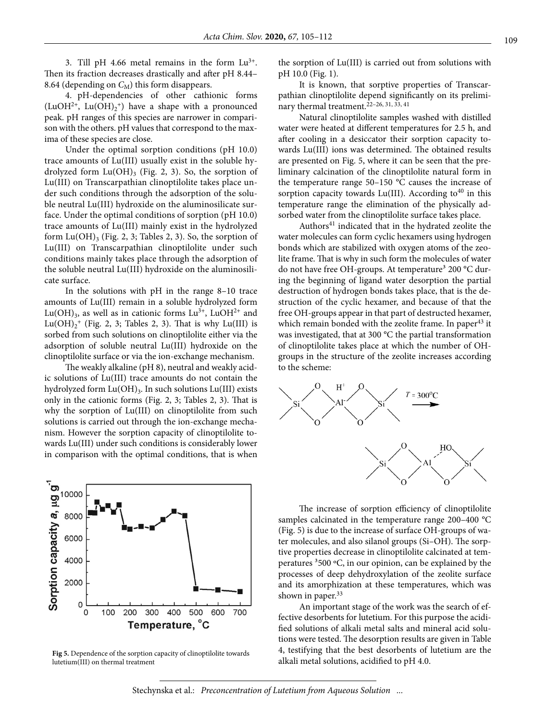3. Till pH 4.66 metal remains in the form  $Lu^{3+}$ . Then its fraction decreases drastically and after рН 8.44– 8.64 (depending on  $C_M$ ) this form disappears.

4. рН-dependencies of other cathionic forms (LuOH<sup>2+</sup>, Lu(OH)<sub>2</sub><sup>+</sup>) have a shape with a pronounced peak. рН ranges of this species are narrower in comparison with the others. pH values that correspond to the maxima of these species are close.

Under the optimal sorption conditions (pH 10.0) trace amounts of Lu(III) usually exist in the soluble hydrolyzed form  $Lu(OH)$ <sub>3</sub> (Fig. 2, 3). So, the sorption of Lu(III) on Transcarpathian clinoptilolite takes place under such conditions through the adsorption of the soluble neutral Lu(III) hydroxide on the aluminosilicate surface. Under the optimal conditions of sorption (рН 10.0) trace amounts of Lu(III) mainly exist in the hydrolyzed form  $Lu(OH)$ <sub>3</sub> (Fig. 2, 3; Tables 2, 3). So, the sorption of Lu(III) on Transcarpathian clinoptilolite under such conditions mainly takes place through the adsorption of the soluble neutral Lu(III) hydroxide on the aluminosilicate surface.

In the solutions with pH in the range 8–10 trace amounts of Lu(III) remain in a soluble hydrolyzed form  $Lu(OH)_{3}$ , as well as in cationic forms  $Lu^{3+}$ , LuOH<sup>2+</sup> and  $Lu(OH)<sub>2</sub><sup>+</sup>$  (Fig. 2, 3; Tables 2, 3). That is why  $Lu(III)$  is sorbed from such solutions on clinoptilolite either via the adsorption of soluble neutral Lu(III) hydroxide on the clinoptilolite surface or via the ion-exchange mechanism.

The weakly alkaline (pH 8), neutral and weakly acidic solutions of Lu(III) trace amounts do not contain the hydrolyzed form  $Lu(OH)$ <sub>3</sub>. In such solutions  $Lu(III)$  exists only in the cationic forms (Fig. 2, 3; Tables 2, 3). That is why the sorption of Lu(III) on clinoptilolite from such solutions is carried out through the ion-exchange mechanism. However the sorption capacity of clinoptilolite towards Lu(III) under such conditions is considerably lower in comparison with the optimal conditions, that is when



Fig 5. Dependence of the sorption capacity of clinoptilolite towards **Fig. 3.** Hestifying that the best desorptions of 1<br>alkali metal solutions, acidified to pH 4.0. lutetium(III) on thermal treatment

the sorption of Lu(III) is carried out from solutions with pH 10.0 (Fig. 1).

It is known, that sorptive properties of Transcarpathian clinoptilolite depend significantly on its preliminary thermal treatment.<sup>22-26, 31, 33, 41</sup>

Natural clinoptilolite samples washed with distilled water were heated at different temperatures for 2.5 h, and after cooling in a desiccator their sorption capacity towards Lu(III) ions was determined. The obtained results are presented on Fig. 5, where it can be seen that the preliminary calcination of the clinoptilolite natural form in the temperature range 50–150 °С causes the increase of sorption capacity towards Lu(III). According to<sup>40</sup> in this temperature range the elimination of the physically adsorbed water from the clinoptilolite surface takes place.

Authors<sup>41</sup> indicated that in the hydrated zeolite the water molecules can form cyclic hexamers using hydrogen bonds which are stabilized with oxygen atoms of the zeolite frame. That is why in such form the molecules of water do not have free OH-groups. At temperature<sup>3</sup> 200 °C during the beginning of ligand water desorption the partial destruction of hydrogen bonds takes place, that is the destruction of the cyclic hexamer, and because of that the free ОН-groups appear in that part of destructed hexamer, which remain bonded with the zeolite frame. In paper<sup>43</sup> it was investigated, that at 300 °C the partial transformation of clinoptilolite takes place at which the number of OHgroups in the structure of the zeolite increases according to the scheme:



The increase of sorption efficiency of clinoptilolite samples calcinated in the temperature range 200-400 °C (Fig. 5) is due to the increase of surface ОН-groups of water molecules, and also silanol groups (Si–OH). The sorptive properties decrease in clinoptilolite calcinated at temperatures <sup>3</sup>500 °C, in our opinion, can be explained by the processes of deep dehydroxylation of the zeolite surface and its amorphization at these temperatures, which was shown in paper.<sup>33</sup>

An important stage of the work was the search of effective desorbents for lutetium. For this purpose the acidified solutions of alkali metal salts and mineral acid solutions were tested. The desorption results are given in Table 4, testifying that the best desorbents of lutetium are the

Stechynska et al.: *Preconcentration of Lutetium from Aqueous Solution ...*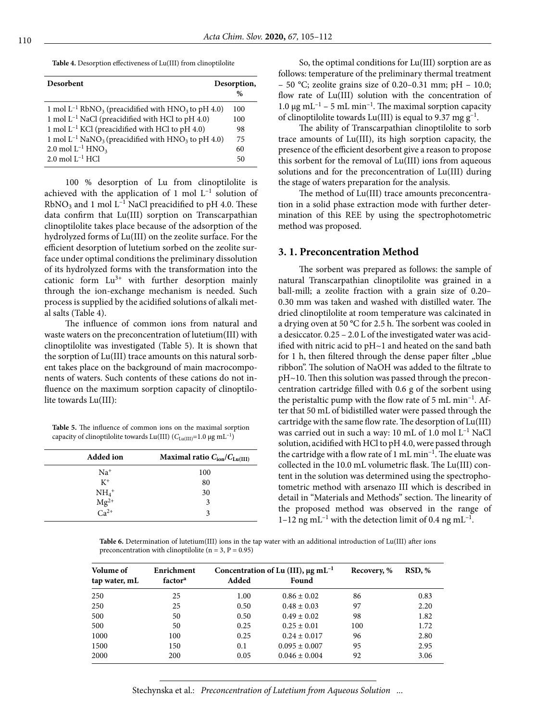**Table 4.** Desorption effectiveness of Lu(III) from clinoptilolite

| Desorbent                                                                       | Desorption,<br>$\frac{0}{0}$ |
|---------------------------------------------------------------------------------|------------------------------|
| 1 mol $L^{-1}$ RbNO <sub>3</sub> (preacidified with HNO <sub>3</sub> to pH 4.0) | 100                          |
| 1 mol $L^{-1}$ NaCl (preacidified with HCl to pH 4.0)                           | 100                          |
| 1 mol $L^{-1}$ KCl (preacidified with HCl to pH 4.0)                            | 98                           |
| 1 mol $L^{-1}$ NaNO <sub>3</sub> (preacidified with HNO <sub>3</sub> to pH 4.0) | 75                           |
| 2.0 mol $L^{-1}$ HNO <sub>3</sub>                                               | 60                           |
| $2.0$ mol $L^{-1}$ HCl                                                          | 50                           |

100 % desorption of Lu from clinoptilolite is achieved with the application of 1 mol  $L^{-1}$  solution of  $RbNO<sub>3</sub>$  and 1 mol L<sup>-1</sup> NaCl preacidified to pH 4.0. These data confirm that Lu(III) sorption on Transcarpathian clinoptilolite takes place because of the adsorption of the hydrolyzed forms of Lu(III) on the zeolite surface. For the efficient desorption of lutetium sorbed on the zeolite surface under optimal conditions the preliminary dissolution of its hydrolyzed forms with the transformation into the cationic form  $Lu^{3+}$  with further desorption mainly through the ion-exchange mechanism is needed. Such process is supplied by the acidified solutions of alkali metal salts (Table 4).

The influence of common ions from natural and waste waters on the preconcentration of lutetium(III) with clinoptilolite was investigated (Table 5). It is shown that the sorption of Lu(ІІІ) trace amounts on this natural sorbent takes place on the background of main macrocomponents of waters. Such contents of these cations do not influence on the maximum sorption capacity of clinoptilolite towards Lu(III):

**Table 5.** The influence of common ions on the maximal sorption capacity of clinoptilolite towards Lu(III) ( $C_{\text{Lu(III)}}$ =1.0 μg mL<sup>-1</sup>)

| <b>Added</b> ion                                              | Maximal ratio $C_{\text{ion}}/C_{\text{Lu(III)}}$ |
|---------------------------------------------------------------|---------------------------------------------------|
| $Na+$                                                         | 100                                               |
| $K^+$                                                         | 80                                                |
|                                                               | 30                                                |
| $\begin{array}{c}\nNH_4^+ \\ Mg^{2+} \\ Ca^{2+}\n\end{array}$ | 3                                                 |
|                                                               | 3                                                 |

So, the optimal conditions for Lu(III) sorption are as follows: temperature of the preliminary thermal treatment – 50 °C; zeolite grains size of 0.20–0.31 mm; pH – 10.0; flow rate of Lu(III) solution with the concentration of 1.0 μg mL<sup>-1</sup> – 5 mL min<sup>-1</sup>. The maximal sorption capacity of clinoptilolite towards Lu(III) is equal to 9.37 mg  $g^{-1}$ .

The ability of Transcarpathian clinoptilolite to sorb trace amounts of Lu(III), its high sorption capacity, the presence of the efficient desorbent give a reason to propose this sorbent for the removal of Lu(III) ions from aqueous solutions and for the preconcentration of Lu(III) during the stage of waters preparation for the analysis.

The method of Lu(III) trace amounts preconcentration in a solid phase extraction mode with further determination of this REE by using the spectrophotometric method was proposed.

#### **3. 1. Preconcentration Method**

The sorbent was prepared as follows: the sample of natural Transcarpathian clinoptilolite was grained in a ball-mill; a zeolite fraction with a grain size of 0.20– 0.30 mm was taken and washed with distilled water. The dried clinoptilolite at room temperature was calcinated in a drying oven at 50 °С for 2.5 h. The sorbent was cooled in a desiccator. 0.25 – 2.0 L of the investigated water was acidified with nitric acid to рН~1 and heated on the sand bath for 1 h, then filtered through the dense paper filter "blue ribbon". The solution of NaOH was added to the filtrate to рН~10. Then this solution was passed through the preconcentration cartridge filled with 0.6 g of the sorbent using the peristaltic pump with the flow rate of  $5 \text{ mL min}^{-1}$ . After that 50 mL of bidistilled water were passed through the cartridge with the same flow rate. The desorption of Lu(ІІІ) was carried out in such a way: 10 mL of 1.0 mol  $L^{-1}$  NaCl solution, acidified with HCl to рН 4.0, were passed through the cartridge with a flow rate of  $1 \text{ mL min}^{-1}$ . The eluate was collected in the 10.0 mL volumetric flask. The Lu(III) content in the solution was determined using the spectrophotometric method with arsenazo III which is described in detail in "Materials and Methods" section. The linearity of the proposed method was observed in the range of 1–12 ng mL<sup>-1</sup> with the detection limit of 0.4 ng mL<sup>-1</sup>.

**Table 6.** Determination of lutetium(III) ions in the tap water with an additional introduction of Lu(III) after ions preconcentration with clinoptilolite ( $n = 3$ ,  $P = 0.95$ )

| <b>Volume</b> of<br>tap water, mL | Enrichment<br>factor <sup>a</sup> | Added | Concentration of Lu (III), $\mu$ g mL <sup>-1</sup><br>Found | Recovery, % | RSD, % |
|-----------------------------------|-----------------------------------|-------|--------------------------------------------------------------|-------------|--------|
|                                   |                                   |       |                                                              |             |        |
| 250                               | 25                                | 1.00  | $0.86 \pm 0.02$                                              | 86          | 0.83   |
| 250                               | 25                                | 0.50  | $0.48 \pm 0.03$                                              | 97          | 2.20   |
| 500                               | 50                                | 0.50  | $0.49 \pm 0.02$                                              | 98          | 1.82   |
| 500                               | 50                                | 0.25  | $0.25 \pm 0.01$                                              | 100         | 1.72   |
| 1000                              | 100                               | 0.25  | $0.24 \pm 0.017$                                             | 96          | 2.80   |
| 1500                              | 150                               | 0.1   | $0.095 \pm 0.007$                                            | 95          | 2.95   |
| 2000                              | 200                               | 0.05  | $0.046 \pm 0.004$                                            | 92          | 3.06   |

Stechynska et al.: *Preconcentration of Lutetium from Aqueous Solution ...*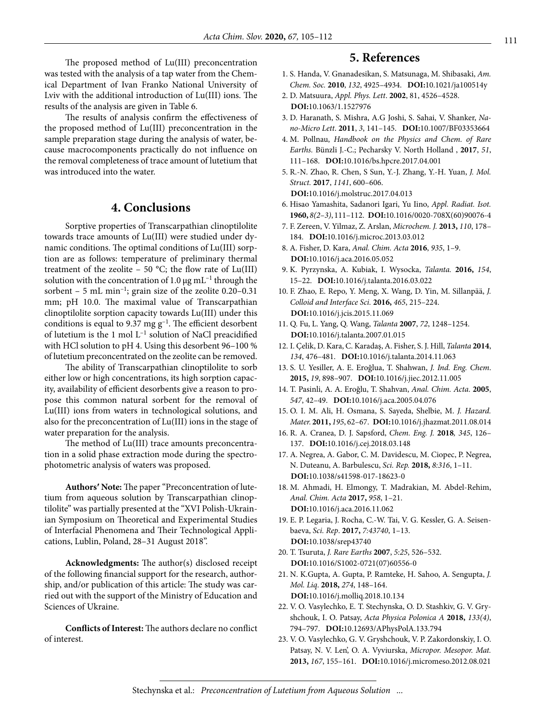The proposed method of Lu(III) preconcentration was tested with the analysis of a tap water from the Chemical Department of Ivan Franko National University of Lviv with the additional introduction of Lu(III) ions. The results of the analysis are given in Table 6.

The results of analysis confirm the effectiveness of the proposed method of Lu(III) preconcentration in the sample preparation stage during the analysis of water, because macrocomponents practically do not influence on the removal completeness of trace amount of lutetium that was introduced into the water.

## **4. Conclusions**

Sorptive properties of Transcarpathian clinoptilolite towards trace amounts of Lu(III) were studied under dynamic conditions. The optimal conditions of Lu(ІІІ) sorption are as follows: temperature of preliminary thermal treatment of the zeolite – 50 °C; the flow rate of  $Lu(III)$ solution with the concentration of 1.0  $\mu$ g mL<sup>-1</sup> through the sorbent – 5 mL min<sup>-1</sup>; grain size of the zeolite  $0.20-0.31$ mm; pH 10.0. The maximal value of Transcarpathian clinoptilolite sorption capacity towards Lu(ІІІ) under this conditions is equal to 9.37 mg  $g^{-1}$ . The efficient desorbent of lutetium is the 1 mol L–1 solution of NaCl preacidified with HCl solution to pH 4. Using this desorbent 96-100 % of lutetium preconcentrated on the zeolite can be removed.

The ability of Transcarpathian clinoptilolite to sorb either low or high concentrations, its high sorption capacity, availability of efficient desorbents give a reason to propose this common natural sorbent for the removal of Lu(ІІІ) ions from waters in technological solutions, and also for the preconcentration of Lu(ІІІ) ions in the stage of water preparation for the analysis.

The method of Lu(III) trace amounts preconcentration in a solid phase extraction mode during the spectrophotometric analysis of waters was proposed.

**Authors′ Note:** The paper "Preconcentration of lutetium from aqueous solution by Transcarpathian clinoptilolite" was partially presented at the "XVI Polish-Ukrainian Symposium on Theoretical and Experimental Studies of Interfacial Phenomena and Their Technological Applications, Lublin, Poland, 28–31 August 2018".

**Acknowledgments:** The author(s) disclosed receipt of the following financial support for the research, authorship, and/or publication of this article: The study was carried out with the support of the Ministry of Education and Sciences of Ukraine.

**Conflicts of Interest:** The authors declare no conflict of interest.

### **5. References**

- 1. S. Handa, V. Gnanadesikan, S. Matsunaga, M. Shibasaki, *Am. Chem. Soc.* **2010**, *132*, 4925–4934. **DOI:**[10.1021/ja100514y](https://doi.org/10.1021/ja100514y)
- 2. D. Matsuura, *Appl. Phys. Lett*. **2002**, 81, 4526–4528. **DOI:**[10.1063/1.1527976](https://doi.org/10.1063/1.1527976)
- 3. D. Haranath, S. Mishra, A.G Joshi, S. Sahai, V. Shanker, *Nano-Micro Lett*. **2011**, *3*, 141–145. **DOI:**[10.1007/BF03353664](https://doi.org/10.1007/BF03353664)
- 4. M. Pollnau, *Handbook on the Physics and Chem. of Rare Earths.* Bünzli J.-C.; Pecharsky V. North Holland , **2017**, *51*, 111–168. **DOI:**[10.1016/bs.hpcre.2017.04.001](https://doi.org/10.1016/bs.hpcre.2017.04.001)
- 5. R.-N. Zhao, R. Chen, S Sun, Y.-J. Zhang, Y.-H. Yuan, *J. Mol. Struct.* **2017**, *1141*, 600–606. **DOI:**[10.1016/j.molstruc.2017.04.013](https://doi.org/10.1016/j.molstruc.2017.04.013)
- 6. Hisao Yamashita, Sadanori Igari, Yu Iino, *Appl. Radiat. Isot.* **1960,** *8(2–3)*, 111–112. **DOI:**[10.1016/0020-708X\(60\)90076-4](https://doi.org/10.1016/0020-708X(60)90076-4)
- 7. F. Zereen, V. Yilmaz, Z. Arslan, *Microchem. J.* **2013,** *110*, 178– 184. **DOI:**[10.1016/j.microc.2013.03.012](https://doi.org/10.1016/j.microc.2013.03.012)
- 8. A. Fisher, D. Kara, *Anal. Chim. Acta* **2016**, *935*, 1–9. **DOI:**[10.1016/j.aca.2016.05.052](https://doi.org/10.1016/j.aca.2016.05.052)
- 9. K. Pyrzynska, A. Kubiak, I. Wysocka, *Talanta.* **2016,** *154*, 15–22. **DOI:**[10.1016/j.talanta.2016.03.022](https://doi.org/10.1016/j.talanta.2016.03.022)
- 10. F. Zhao, E. Repo, Y. Meng, X. Wang, D. Yin, M. Sillanpää, *J. Colloid and Interface Sci.* **2016,** *465*, 215–224. **DOI:**[10.1016/j.jcis.2015.11.069](https://doi.org/10.1016/j.jcis.2015.11.069)
- 11. Q. Fu, L. Yang, Q. Wang, *Talanta* **2007**, *72*, 1248–1254. **DOI:**[10.1016/j.talanta.2007.01.015](https://doi.org/10.1016/j.talanta.2007.01.015)
- 12. I. Çelik, D. Kara, C. Karadaş, A. Fisher, S. J. Hill, *Talanta* **2014**, *134*, 476–481. **DOI:**[10.1016/j.talanta.2014.11.063](https://doi.org/10.1016/j.talanta.2014.11.063)
- 13. S. U. Yesiller, A. E. Eroğlua, T. Shahwan, *J. Ind. Eng. Chem*. **2015,** *19*, 898–907. **DOI:**[10.1016/j.jiec.2012.11.005](https://doi.org/10.1016/j.jiec.2012.11.005)
- 14. T. Pasinli, A. A. Eroğlu, T. Shahvan, *Anal. Chim. Acta*. **2005**, *547*, 42–49. **DOI:**[10.1016/j.aca.2005.04.076](https://doi.org/10.1016/j.aca.2005.04.076)
- 15. O. I. M. Ali, H. Osmana, S. Sayeda, Shelbie, M. *J. Hazard. Mater.* **2011,** *195*, 62–67. **DOI:**[10.1016/j.jhazmat.2011.08.014](https://doi.org/10.1016/j.jhazmat.2011.08.014)
- 16. R. A. Cranea, D. J. Sapsford, *Chem. Eng. J.* **2018***, 345*, 126– 137. **DOI:**[10.1016/j.cej.2018.03.148](https://doi.org/10.1016/j.cej.2018.03.148)
- 17. A. Negrea, A. Gabor, C. M. Davidescu, M. Ciopec, P. Negrea, N. Duteanu, A. Barbulescu, *Sci. Rep.* **2018,** *8:316*, 1–11. **DOI:**[10.1038/s41598-017-18623-0](https://doi.org/10.1038/s41598-017-18623-0)
- 18. M. Ahmadi, H. Elmongy, T. Madrakian, M. Abdel-Rehim, *Anal. Chim. Acta* **2017,** *958*, 1–21. **DOI:**[10.1016/j.aca.2016.11.062](https://doi.org/10.1016/j.aca.2016.11.062)
- 19. E. P. Legaria, J. Rocha, C.-W. Tai, V. G. Kessler, G. A. Seisenbaeva, *Sci. Rep*. **2017,** *7:43740*, 1–13. **DOI:**[10.1038/srep43740](https://doi.org/10.1038/srep43740)
- 20. T. Tsuruta, *J. Rare Earths* **2007**, *5:25*, 526–532. **DOI:**[10.1016/S1002-0721\(07\)60556-0](https://doi.org/10.1016/S1002-0721(07)60556-0)
- 21. N. K.Gupta, A. Gupta, P. Ramteke, H. Sahoo, A. Sengupta, *J. Mol. Liq*. **2018,** *274*, 148–164. **DOI:**[10.1016/j.molliq.2018.10.134](https://doi.org/10.1016/j.molliq.2018.10.134)
- 22. V. O. Vasylechko, E. T. Stechynska, O. D. Stashkiv, G. V. Gryshchouk, I. O. Patsay, *Acta Physica Polonica A* **2018,** *133(4)*, 794–797. **DOI:**[10.12693/APhysPolA.133.794](https://doi.org/10.12693/APhysPolA.133.794)
- 23. V. O. Vasylechko, G. V. Gryshchouk, V. P. Zakordonskiy, I. O. Patsay, N. V. Len', O. A. Vyviurska, *Micropor. Mesopor. Mat.*  **2013,** *167*, 155–161. **DOI:**[10.1016/j.micromeso.2012.08.021](https://doi.org/10.1016/j.micromeso.2012.08.021)